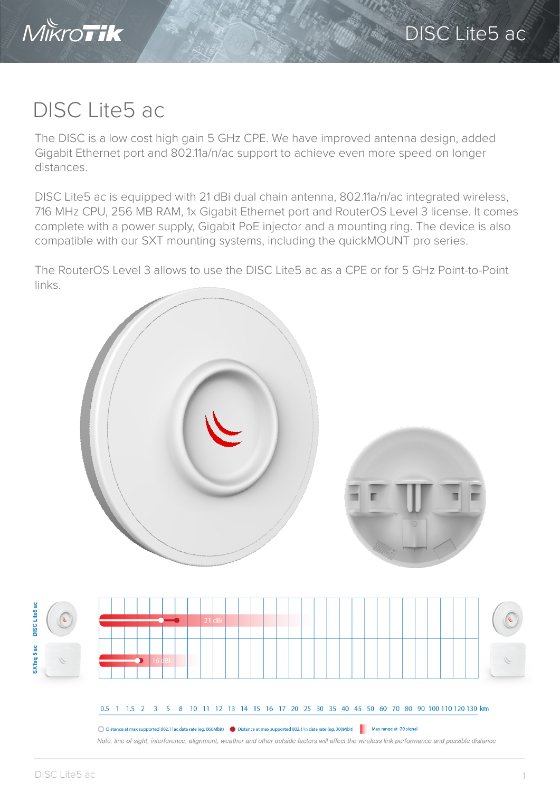

## DISC Lite5 ac

The DISC is a low cost high gain 5 GHz CPE. We have improved antenna design, added Gigabit Ethernet port and 802.11a/n/ac support to achieve even more speed on longer distances.

DISC Lite5 ac is equipped with 21 dBi dual chain antenna, 802.11a/n/ac integrated wireless, 716 MHz CPU, 256 MB RAM, 1x Gigabit Ethernet port and RouterOS Level 3 license. It comes complete with a power supply, Gigabit PoE injector and a mounting ring. The device is also compatible with our SXT mounting systems, including the quickMOUNT pro series.

The RouterOS Level 3 allows to use the DISC Lite5 ac as a CPE or for 5 GHz Point-to-Point links.